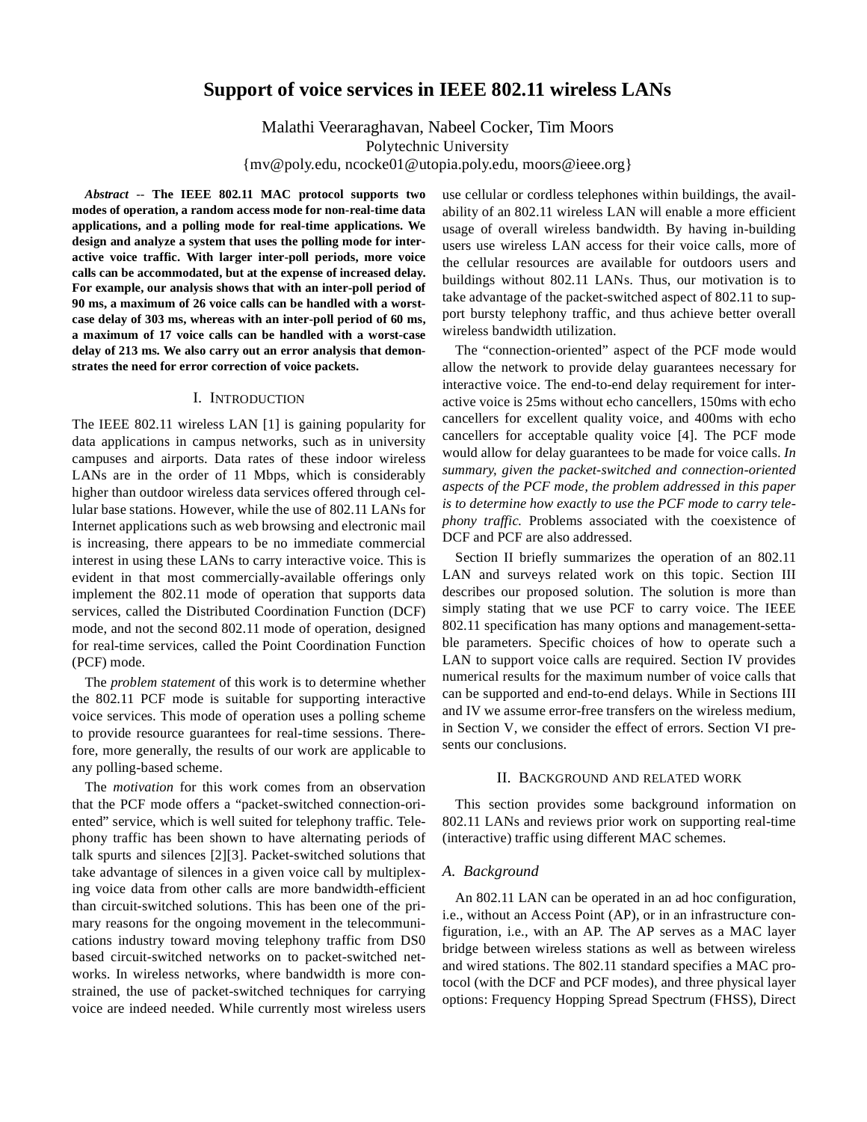# **Support of voice services in IEEE 802.11 wireless LANs**

Malathi Veeraraghavan, Nabeel Cocker, Tim Moors Polytechnic University {mv@poly.edu, ncocke01@utopia.poly.edu, moors@ieee.org}

*Abstract* -- **The IEEE 802.11 MAC protocol supports two modes of operation, a random access mode for non-real-time data applications, and a polling mode for real-time applications. We design and analyze a system that uses the polling mode for interactive voice traffic. With larger inter-poll periods, more voice calls can be accommodated, but at the expense of increased delay. For example, our analysis shows that with an inter-poll period of 90 ms, a maximum of 26 voice calls can be handled with a worstcase delay of 303 ms, whereas with an inter-poll period of 60 ms, a maximum of 17 voice calls can be handled with a worst-case delay of 213 ms. We also carry out an error analysis that demonstrates the need for error correction of voice packets.**

# I. INTRODUCTION

The IEEE 802.11 wireless LAN [1] is gaining popularity for data applications in campus networks, such as in university campuses and airports. Data rates of these indoor wireless LANs are in the order of 11 Mbps, which is considerably higher than outdoor wireless data services offered through cellular base stations. However, while the use of 802.11 LANs for Internet applications such as web browsing and electronic mail is increasing, there appears to be no immediate commercial interest in using these LANs to carry interactive voice. This is evident in that most commercially-available offerings only implement the 802.11 mode of operation that supports data services, called the Distributed Coordination Function (DCF) mode, and not the second 802.11 mode of operation, designed for real-time services, called the Point Coordination Function (PCF) mode.

The *problem statement* of this work is to determine whether the 802.11 PCF mode is suitable for supporting interactive voice services. This mode of operation uses a polling scheme to provide resource guarantees for real-time sessions. Therefore, more generally, the results of our work are applicable to any polling-based scheme.

The *motivation* for this work comes from an observation that the PCF mode offers a "packet-switched connection-oriented" service, which is well suited for telephony traffic. Telephony traffic has been shown to have alternating periods of talk spurts and silences [2][3]. Packet-switched solutions that take advantage of silences in a given voice call by multiplexing voice data from other calls are more bandwidth-efficient than circuit-switched solutions. This has been one of the primary reasons for the ongoing movement in the telecommunications industry toward moving telephony traffic from DS0 based circuit-switched networks on to packet-switched networks. In wireless networks, where bandwidth is more constrained, the use of packet-switched techniques for carrying voice are indeed needed. While currently most wireless users

use cellular or cordless telephones within buildings, the availability of an 802.11 wireless LAN will enable a more efficient usage of overall wireless bandwidth. By having in-building users use wireless LAN access for their voice calls, more of the cellular resources are available for outdoors users and buildings without 802.11 LANs. Thus, our motivation is to take advantage of the packet-switched aspect of 802.11 to support bursty telephony traffic, and thus achieve better overall wireless bandwidth utilization.

The "connection-oriented" aspect of the PCF mode would allow the network to provide delay guarantees necessary for interactive voice. The end-to-end delay requirement for interactive voice is 25ms without echo cancellers, 150ms with echo cancellers for excellent quality voice, and 400ms with echo cancellers for acceptable quality voice [4]. The PCF mode would allow for delay guarantees to be made for voice calls. *In summary, given the packet-switched and connection-oriented aspects of the PCF mode, the problem addressed in this paper is to determine how exactly to use the PCF mode to carry telephony traffic.* Problems associated with the coexistence of DCF and PCF are also addressed.

Section II briefly summarizes the operation of an 802.11 LAN and surveys related work on this topic. Section III describes our proposed solution. The solution is more than simply stating that we use PCF to carry voice. The IEEE 802.11 specification has many options and management-settable parameters. Specific choices of how to operate such a LAN to support voice calls are required. Section IV provides numerical results for the maximum number of voice calls that can be supported and end-to-end delays. While in Sections III and IV we assume error-free transfers on the wireless medium, in Section V, we consider the effect of errors. Section VI presents our conclusions.

### II. BACKGROUND AND RELATED WORK

This section provides some background information on 802.11 LANs and reviews prior work on supporting real-time (interactive) traffic using different MAC schemes.

#### *A. Background*

An 802.11 LAN can be operated in an ad hoc configuration, i.e., without an Access Point (AP), or in an infrastructure configuration, i.e., with an AP. The AP serves as a MAC layer bridge between wireless stations as well as between wireless and wired stations. The 802.11 standard specifies a MAC protocol (with the DCF and PCF modes), and three physical layer options: Frequency Hopping Spread Spectrum (FHSS), Direct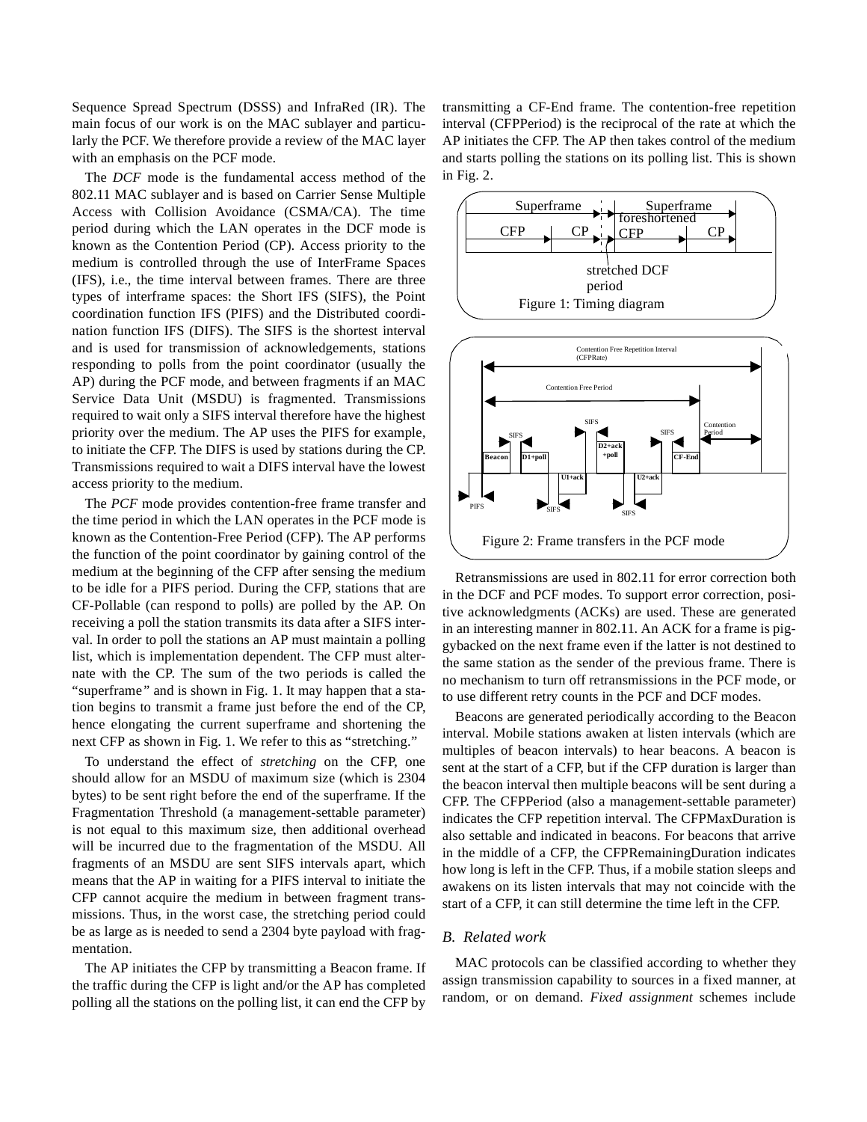Sequence Spread Spectrum (DSSS) and InfraRed (IR). The main focus of our work is on the MAC sublayer and particularly the PCF. We therefore provide a review of the MAC layer with an emphasis on the PCF mode.

The *DCF* mode is the fundamental access method of the 802.11 MAC sublayer and is based on Carrier Sense Multiple Access with Collision Avoidance (CSMA/CA). The time period during which the LAN operates in the DCF mode is known as the Contention Period (CP). Access priority to the medium is controlled through the use of InterFrame Spaces (IFS), i.e., the time interval between frames. There are three types of interframe spaces: the Short IFS (SIFS), the Point coordination function IFS (PIFS) and the Distributed coordination function IFS (DIFS). The SIFS is the shortest interval and is used for transmission of acknowledgements, stations responding to polls from the point coordinator (usually the AP) during the PCF mode, and between fragments if an MAC Service Data Unit (MSDU) is fragmented. Transmissions required to wait only a SIFS interval therefore have the highest priority over the medium. The AP uses the PIFS for example, to initiate the CFP. The DIFS is used by stations during the CP. Transmissions required to wait a DIFS interval have the lowest access priority to the medium.

The *PCF* mode provides contention-free frame transfer and the time period in which the LAN operates in the PCF mode is known as the Contention-Free Period (CFP). The AP performs the function of the point coordinator by gaining control of the medium at the beginning of the CFP after sensing the medium to be idle for a PIFS period. During the CFP, stations that are CF-Pollable (can respond to polls) are polled by the AP. On receiving a poll the station transmits its data after a SIFS interval. In order to poll the stations an AP must maintain a polling list, which is implementation dependent. The CFP must alternate with the CP. The sum of the two periods is called the "superframe*"* and is shown in Fig. 1. It may happen that a station begins to transmit a frame just before the end of the CP, hence elongating the current superframe and shortening the next CFP as shown in Fig. 1. We refer to this as "stretching."

To understand the effect of *stretching* on the CFP, one should allow for an MSDU of maximum size (which is 2304 bytes) to be sent right before the end of the superframe. If the Fragmentation Threshold (a management-settable parameter) is not equal to this maximum size, then additional overhead will be incurred due to the fragmentation of the MSDU. All fragments of an MSDU are sent SIFS intervals apart, which means that the AP in waiting for a PIFS interval to initiate the CFP cannot acquire the medium in between fragment transmissions. Thus, in the worst case, the stretching period could be as large as is needed to send a 2304 byte payload with fragmentation.

The AP initiates the CFP by transmitting a Beacon frame. If the traffic during the CFP is light and/or the AP has completed polling all the stations on the polling list, it can end the CFP by

transmitting a CF-End frame. The contention-free repetition interval (CFPPeriod) is the reciprocal of the rate at which the AP initiates the CFP. The AP then takes control of the medium and starts polling the stations on its polling list. This is shown in Fig. 2.



Retransmissions are used in 802.11 for error correction both in the DCF and PCF modes. To support error correction, positive acknowledgments (ACKs) are used. These are generated in an interesting manner in 802.11. An ACK for a frame is piggybacked on the next frame even if the latter is not destined to the same station as the sender of the previous frame. There is no mechanism to turn off retransmissions in the PCF mode, or to use different retry counts in the PCF and DCF modes.

Beacons are generated periodically according to the Beacon interval. Mobile stations awaken at listen intervals (which are multiples of beacon intervals) to hear beacons. A beacon is sent at the start of a CFP, but if the CFP duration is larger than the beacon interval then multiple beacons will be sent during a CFP. The CFPPeriod (also a management-settable parameter) indicates the CFP repetition interval. The CFPMaxDuration is also settable and indicated in beacons. For beacons that arrive in the middle of a CFP, the CFPRemainingDuration indicates how long is left in the CFP. Thus, if a mobile station sleeps and awakens on its listen intervals that may not coincide with the start of a CFP, it can still determine the time left in the CFP.

#### *B. Related work*

MAC protocols can be classified according to whether they assign transmission capability to sources in a fixed manner, at random, or on demand. *Fixed assignment* schemes include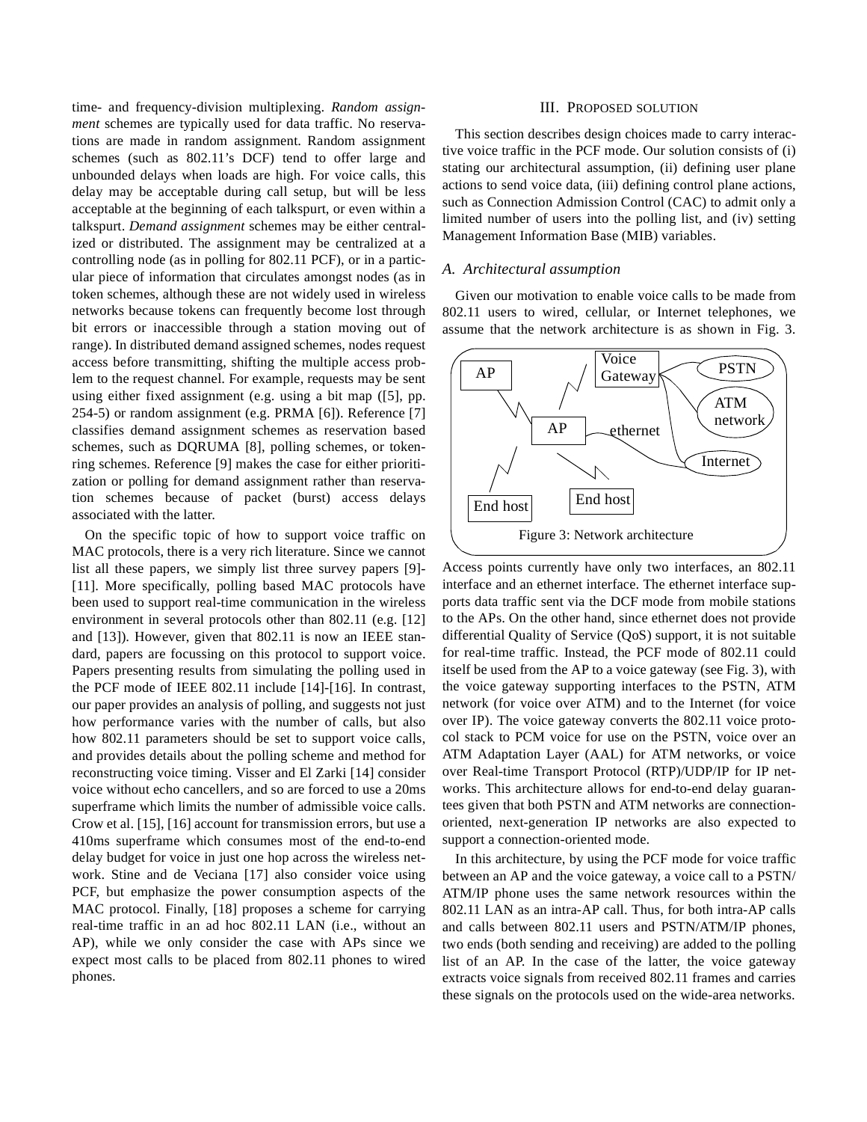time- and frequency-division multiplexing. *Random assignment* schemes are typically used for data traffic. No reservations are made in random assignment. Random assignment schemes (such as 802.11's DCF) tend to offer large and unbounded delays when loads are high. For voice calls, this delay may be acceptable during call setup, but will be less acceptable at the beginning of each talkspurt, or even within a talkspurt. *Demand assignment* schemes may be either centralized or distributed. The assignment may be centralized at a controlling node (as in polling for 802.11 PCF), or in a particular piece of information that circulates amongst nodes (as in token schemes, although these are not widely used in wireless networks because tokens can frequently become lost through bit errors or inaccessible through a station moving out of range). In distributed demand assigned schemes, nodes request access before transmitting, shifting the multiple access problem to the request channel. For example, requests may be sent using either fixed assignment (e.g. using a bit map ([5], pp. 254-5) or random assignment (e.g. PRMA [6]). Reference [7] classifies demand assignment schemes as reservation based schemes, such as DQRUMA [8], polling schemes, or tokenring schemes. Reference [9] makes the case for either prioritization or polling for demand assignment rather than reservation schemes because of packet (burst) access delays associated with the latter.

On the specific topic of how to support voice traffic on MAC protocols, there is a very rich literature. Since we cannot list all these papers, we simply list three survey papers [9]- [11]. More specifically, polling based MAC protocols have been used to support real-time communication in the wireless environment in several protocols other than 802.11 (e.g. [12] and [13]). However, given that 802.11 is now an IEEE standard, papers are focussing on this protocol to support voice. Papers presenting results from simulating the polling used in the PCF mode of IEEE 802.11 include [14]-[16]. In contrast, our paper provides an analysis of polling, and suggests not just how performance varies with the number of calls, but also how 802.11 parameters should be set to support voice calls, and provides details about the polling scheme and method for reconstructing voice timing. Visser and El Zarki [14] consider voice without echo cancellers, and so are forced to use a 20ms superframe which limits the number of admissible voice calls. Crow et al. [15], [16] account for transmission errors, but use a 410ms superframe which consumes most of the end-to-end delay budget for voice in just one hop across the wireless network. Stine and de Veciana [17] also consider voice using PCF, but emphasize the power consumption aspects of the MAC protocol. Finally, [18] proposes a scheme for carrying real-time traffic in an ad hoc 802.11 LAN (i.e., without an AP), while we only consider the case with APs since we expect most calls to be placed from 802.11 phones to wired phones.

#### III. PROPOSED SOLUTION

This section describes design choices made to carry interactive voice traffic in the PCF mode. Our solution consists of (i) stating our architectural assumption, (ii) defining user plane actions to send voice data, (iii) defining control plane actions, such as Connection Admission Control (CAC) to admit only a limited number of users into the polling list, and (iv) setting Management Information Base (MIB) variables.

#### *A. Architectural assumption*

Given our motivation to enable voice calls to be made from 802.11 users to wired, cellular, or Internet telephones, we assume that the network architecture is as shown in Fig. 3.



Access points currently have only two interfaces, an 802.11 interface and an ethernet interface. The ethernet interface supports data traffic sent via the DCF mode from mobile stations to the APs. On the other hand, since ethernet does not provide differential Quality of Service (QoS) support, it is not suitable for real-time traffic. Instead, the PCF mode of 802.11 could itself be used from the AP to a voice gateway (see Fig. 3), with the voice gateway supporting interfaces to the PSTN, ATM network (for voice over ATM) and to the Internet (for voice over IP). The voice gateway converts the 802.11 voice protocol stack to PCM voice for use on the PSTN, voice over an ATM Adaptation Layer (AAL) for ATM networks, or voice over Real-time Transport Protocol (RTP)/UDP/IP for IP networks. This architecture allows for end-to-end delay guarantees given that both PSTN and ATM networks are connectionoriented, next-generation IP networks are also expected to support a connection-oriented mode.

In this architecture, by using the PCF mode for voice traffic between an AP and the voice gateway, a voice call to a PSTN/ ATM/IP phone uses the same network resources within the 802.11 LAN as an intra-AP call. Thus, for both intra-AP calls and calls between 802.11 users and PSTN/ATM/IP phones, two ends (both sending and receiving) are added to the polling list of an AP. In the case of the latter, the voice gateway extracts voice signals from received 802.11 frames and carries these signals on the protocols used on the wide-area networks.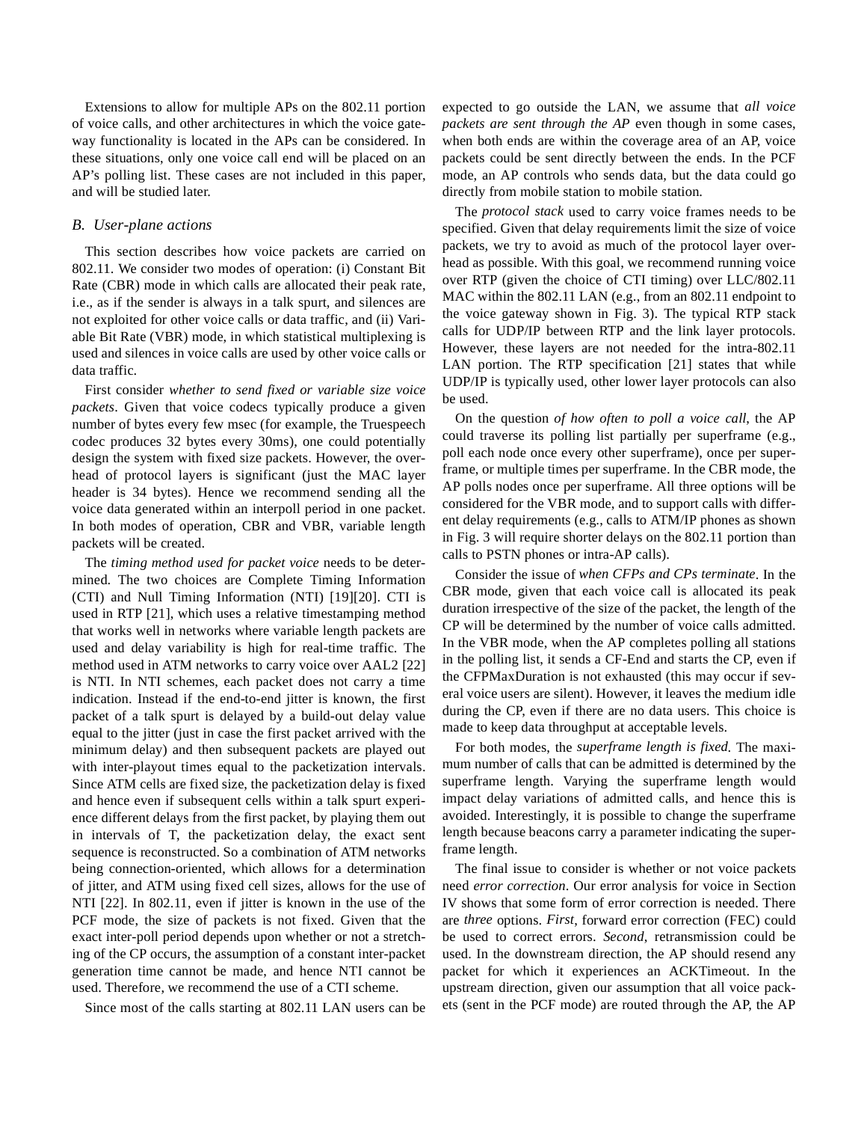Extensions to allow for multiple APs on the 802.11 portion of voice calls, and other architectures in which the voice gateway functionality is located in the APs can be considered. In these situations, only one voice call end will be placed on an AP's polling list. These cases are not included in this paper, and will be studied later.

# *B. User-plane actions*

This section describes how voice packets are carried on 802.11. We consider two modes of operation: (i) Constant Bit Rate (CBR) mode in which calls are allocated their peak rate, i.e., as if the sender is always in a talk spurt, and silences are not exploited for other voice calls or data traffic, and (ii) Variable Bit Rate (VBR) mode, in which statistical multiplexing is used and silences in voice calls are used by other voice calls or data traffic.

First consider *whether to send fixed or variable size voice packets*. Given that voice codecs typically produce a given number of bytes every few msec (for example, the Truespeech codec produces 32 bytes every 30ms), one could potentially design the system with fixed size packets. However, the overhead of protocol layers is significant (just the MAC layer header is 34 bytes). Hence we recommend sending all the voice data generated within an interpoll period in one packet. In both modes of operation, CBR and VBR, variable length packets will be created.

The *timing method used for packet voice* needs to be determined. The two choices are Complete Timing Information (CTI) and Null Timing Information (NTI) [19][20]. CTI is used in RTP [21], which uses a relative timestamping method that works well in networks where variable length packets are used and delay variability is high for real-time traffic. The method used in ATM networks to carry voice over AAL2 [22] is NTI. In NTI schemes, each packet does not carry a time indication. Instead if the end-to-end jitter is known, the first packet of a talk spurt is delayed by a build-out delay value equal to the jitter (just in case the first packet arrived with the minimum delay) and then subsequent packets are played out with inter-playout times equal to the packetization intervals. Since ATM cells are fixed size, the packetization delay is fixed and hence even if subsequent cells within a talk spurt experience different delays from the first packet, by playing them out in intervals of T, the packetization delay, the exact sent sequence is reconstructed. So a combination of ATM networks being connection-oriented, which allows for a determination of jitter, and ATM using fixed cell sizes, allows for the use of NTI [22]. In 802.11, even if jitter is known in the use of the PCF mode, the size of packets is not fixed. Given that the exact inter-poll period depends upon whether or not a stretching of the CP occurs, the assumption of a constant inter-packet generation time cannot be made, and hence NTI cannot be used. Therefore, we recommend the use of a CTI scheme.

Since most of the calls starting at 802.11 LAN users can be

expected to go outside the LAN, we assume that *all voice packets are sent through the AP* even though in some cases, when both ends are within the coverage area of an AP, voice packets could be sent directly between the ends. In the PCF mode, an AP controls who sends data, but the data could go directly from mobile station to mobile station.

The *protocol stack* used to carry voice frames needs to be specified. Given that delay requirements limit the size of voice packets, we try to avoid as much of the protocol layer overhead as possible. With this goal, we recommend running voice over RTP (given the choice of CTI timing) over LLC/802.11 MAC within the 802.11 LAN (e.g., from an 802.11 endpoint to the voice gateway shown in Fig. 3). The typical RTP stack calls for UDP/IP between RTP and the link layer protocols. However, these layers are not needed for the intra-802.11 LAN portion. The RTP specification [21] states that while UDP/IP is typically used, other lower layer protocols can also be used.

On the question *of how often to poll a voice call*, the AP could traverse its polling list partially per superframe (e.g., poll each node once every other superframe), once per superframe, or multiple times per superframe. In the CBR mode, the AP polls nodes once per superframe. All three options will be considered for the VBR mode, and to support calls with different delay requirements (e.g., calls to ATM/IP phones as shown in Fig. 3 will require shorter delays on the 802.11 portion than calls to PSTN phones or intra-AP calls).

Consider the issue of *when CFPs and CPs terminate*. In the CBR mode, given that each voice call is allocated its peak duration irrespective of the size of the packet, the length of the CP will be determined by the number of voice calls admitted. In the VBR mode, when the AP completes polling all stations in the polling list, it sends a CF-End and starts the CP, even if the CFPMaxDuration is not exhausted (this may occur if several voice users are silent). However, it leaves the medium idle during the CP, even if there are no data users. This choice is made to keep data throughput at acceptable levels.

For both modes, the *superframe length is fixed*. The maximum number of calls that can be admitted is determined by the superframe length. Varying the superframe length would impact delay variations of admitted calls, and hence this is avoided. Interestingly, it is possible to change the superframe length because beacons carry a parameter indicating the superframe length.

The final issue to consider is whether or not voice packets need *error correction*. Our error analysis for voice in Section IV shows that some form of error correction is needed. There are *three* options. *First*, forward error correction (FEC) could be used to correct errors. *Second*, retransmission could be used. In the downstream direction, the AP should resend any packet for which it experiences an ACKTimeout. In the upstream direction, given our assumption that all voice packets (sent in the PCF mode) are routed through the AP, the AP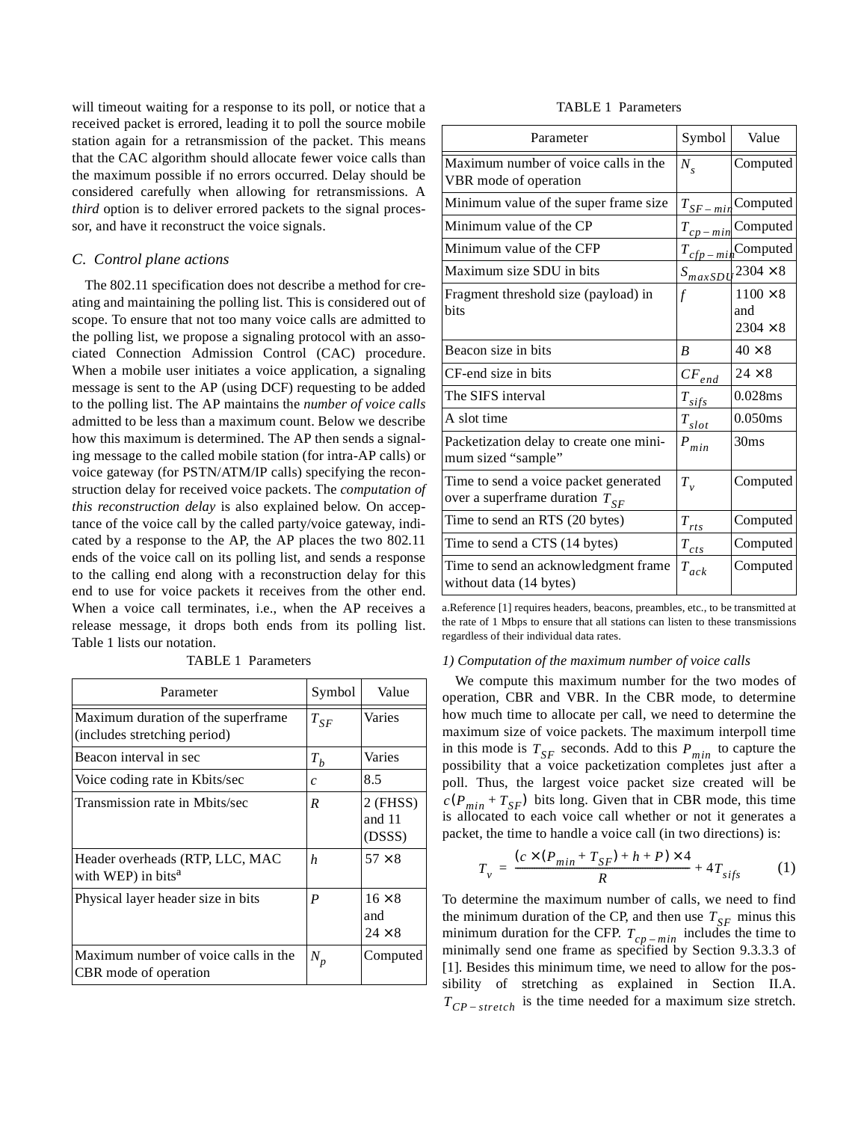will timeout waiting for a response to its poll, or notice that a received packet is errored, leading it to poll the source mobile station again for a retransmission of the packet. This means that the CAC algorithm should allocate fewer voice calls than the maximum possible if no errors occurred. Delay should be considered carefully when allowing for retransmissions. A *third* option is to deliver errored packets to the signal processor, and have it reconstruct the voice signals.

# *C. Control plane actions*

The 802.11 specification does not describe a method for creating and maintaining the polling list. This is considered out of scope. To ensure that not too many voice calls are admitted to the polling list, we propose a signaling protocol with an associated Connection Admission Control (CAC) procedure. When a mobile user initiates a voice application, a signaling message is sent to the AP (using DCF) requesting to be added to the polling list. The AP maintains the *number of voice calls* admitted to be less than a maximum count. Below we describe how this maximum is determined. The AP then sends a signaling message to the called mobile station (for intra-AP calls) or voice gateway (for PSTN/ATM/IP calls) specifying the reconstruction delay for received voice packets. The *computation of this reconstruction delay* is also explained below. On acceptance of the voice call by the called party/voice gateway, indicated by a response to the AP, the AP places the two 802.11 ends of the voice call on its polling list, and sends a response to the calling end along with a reconstruction delay for this end to use for voice packets it receives from the other end. When a voice call terminates, i.e., when the AP receives a release message, it drops both ends from its polling list. Table 1 lists our notation.

TABLE 1 Parameters

| Parameter                                                           | Symbol           | Value                                 |
|---------------------------------------------------------------------|------------------|---------------------------------------|
| Maximum duration of the superframe.<br>(includes stretching period) | $T_{SF}$         | Varies                                |
| Beacon interval in sec                                              | $T_b$            | Varies                                |
| Voice coding rate in Kbits/sec                                      | $\mathcal{C}$    | 8.5                                   |
| Transmission rate in Mbits/sec                                      | R                | $2$ (FHSS)<br>and 11<br>(DSSS)        |
| Header overheads (RTP, LLC, MAC<br>with WEP) in bits <sup>a</sup>   | $\boldsymbol{h}$ | $57 \times 8$                         |
| Physical layer header size in bits                                  | $\boldsymbol{P}$ | $16 \times 8$<br>and<br>$24 \times 8$ |
| Maximum number of voice calls in the<br>CBR mode of operation       | $N_p$            | Computed                              |

# TABLE 1 Parameters

| Parameter                                                                    | Symbol                                         | Value                                     |
|------------------------------------------------------------------------------|------------------------------------------------|-------------------------------------------|
| Maximum number of voice calls in the<br>VBR mode of operation                | $N_{\rm s}$                                    | Computed                                  |
| Minimum value of the super frame size                                        | $T_{SF-min}$                                   | Computed                                  |
| Minimum value of the CP                                                      | $T_{cp-min}$                                   | Computed                                  |
| Minimum value of the CFP                                                     |                                                | $T_{cfp-mi}$ Computed                     |
| Maximum size SDU in bits                                                     |                                                | $S_{maxSDU}$ 2304 $\times$ 8              |
| Fragment threshold size (payload) in<br>bits                                 | f                                              | $1100 \times 8$<br>and<br>$2304 \times 8$ |
| Beacon size in bits                                                          | $\boldsymbol{B}$                               | $40 \times 8$                             |
| CF-end size in bits                                                          | $CF_{\mathit{end}}$                            | $24 \times 8$                             |
| The SIFS interval                                                            | $T_{\underline{s}\underline{if}\underline{s}}$ | 0.028ms                                   |
| A slot time                                                                  | $T_{slot}$                                     | 0.050ms                                   |
| Packetization delay to create one mini-<br>mum sized "sample"                | $\boldsymbol{P}_{min}$                         | 30ms                                      |
| Time to send a voice packet generated<br>over a superframe duration $T_{SF}$ | $T_{v}$                                        | Computed                                  |
| Time to send an RTS (20 bytes)                                               | $T_{\underline{rts}}$                          | Computed                                  |
| Time to send a CTS (14 bytes)                                                | $T_{cts}$                                      | Computed                                  |
| Time to send an acknowledgment frame<br>without data (14 bytes)              | $T_{ack}$                                      | Computed                                  |

a.Reference [1] requires headers, beacons, preambles, etc., to be transmitted at the rate of 1 Mbps to ensure that all stations can listen to these transmissions regardless of their individual data rates.

#### *1) Computation of the maximum number of voice calls*

We compute this maximum number for the two modes of operation, CBR and VBR. In the CBR mode, to determine how much time to allocate per call, we need to determine the maximum size of voice packets. The maximum interpoll time in this mode is  $T_{SF}$  seconds. Add to this  $P_{min}$  to capture the possibility that a voice packetization completes just after a poll. Thus, the largest voice packet size created will be  $c(P_{min} + T_{SF})$  bits long. Given that in CBR mode, this time is allocated to each voice call whether or not it generates a packet, the time to handle a voice call (in two directions) is:

$$
T_v = \frac{(c \times (P_{min} + T_{SF}) + h + P) \times 4}{R} + 4T_{sifs} \tag{1}
$$

To determine the maximum number of calls, we need to find the minimum duration of the CP, and then use  $T_{SF}$  minus this minimum duration for the CFP.  $T_{cp-min}$  includes the time to minimally send one frame as specified by Section 9.3.3.3 of [1]. Besides this minimum time, we need to allow for the possibility of stretching as explained in Section II.A.  $T_{CP-stretch}$  is the time needed for a maximum size stretch.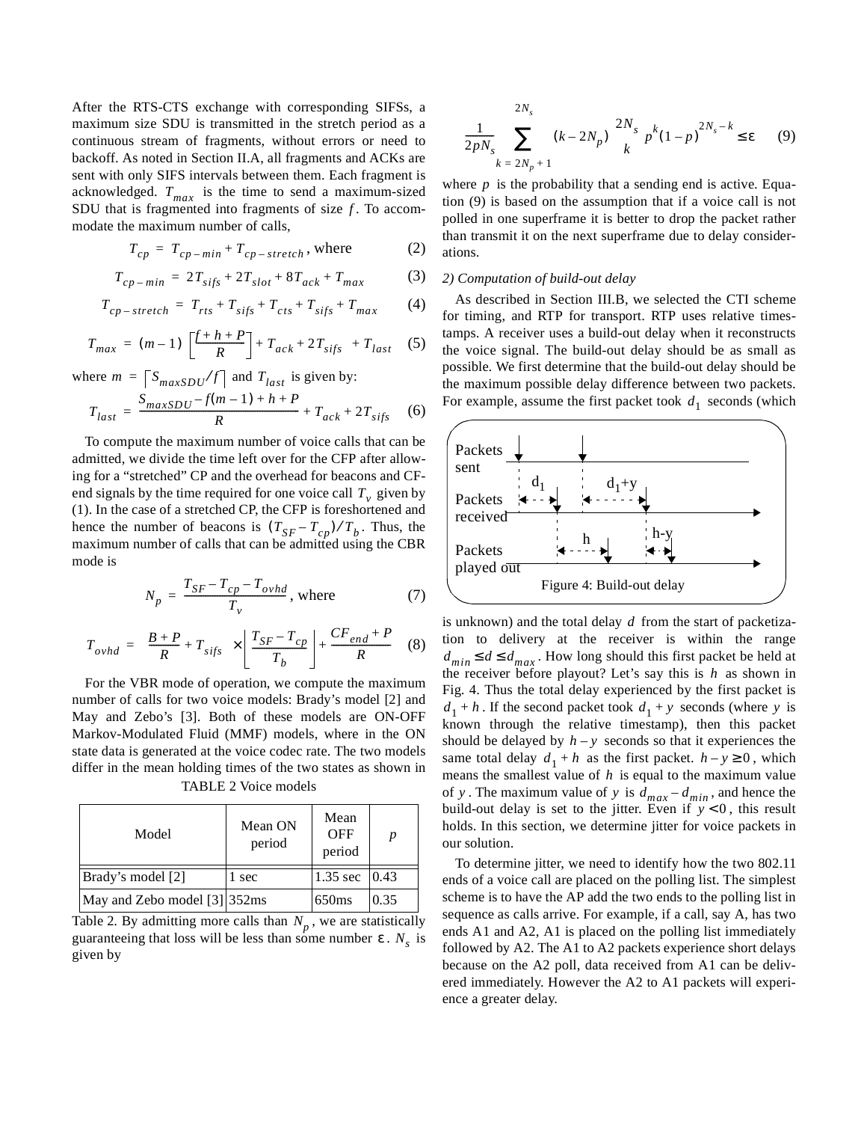After the RTS-CTS exchange with corresponding SIFSs, a maximum size SDU is transmitted in the stretch period as a continuous stream of fragments, without errors or need to backoff. As noted in Section II.A, all fragments and ACKs are sent with only SIFS intervals between them. Each fragment is acknowledged.  $T_{max}$  is the time to send a maximum-sized SDU that is fragmented into fragments of size  $f$ . To accommodate the maximum number of calls,

$$
T_{cp} = T_{cp-min} + T_{cp-stretch}, \text{where} \tag{2}
$$

$$
T_{cp-min} = 2T_{sifs} + 2T_{slot} + 8T_{ack} + T_{max}
$$
 (3)

$$
T_{cp-stretch} = T_{rts} + T_{sifs} + T_{cts} + T_{sifs} + T_{max}
$$
 (4)

$$
T_{max} = (m-1)\left(\left[\frac{f+h+P}{R}\right] + T_{ack} + 2T_{sifs}\right) + T_{last} \quad (5)
$$

where  $m = \lceil S_{maxSDU} / f \rceil$  and  $T_{last}$  is given by:

$$
T_{last} = \frac{S_{maxSDU} - f(m-1) + h + P}{R} + T_{ack} + 2T_{sifs}
$$
 (6)

To compute the maximum number of voice calls that can be admitted, we divide the time left over for the CFP after allowing for a "stretched" CP and the overhead for beacons and CFend signals by the time required for one voice call  $T_v$  given by (1). In the case of a stretched CP, the CFP is foreshortened and hence the number of beacons is  $(T_{SF} - T_{cp})/T_b$ . Thus, the maximum number of calls that can be admitted using the CBR mode is

$$
N_p = \frac{T_{SF} - T_{cp} - T_{ovhd}}{T_v}
$$
, where (7)

$$
T_{ovhd} = \left(\frac{B+P}{R} + T_{sifs}\right) \times \left[\frac{T_{SF} - T_{cp}}{T_b}\right] + \frac{CF_{end} + P}{R}
$$
 (8)

For the VBR mode of operation, we compute the maximum number of calls for two voice models: Brady's model [2] and May and Zebo's [3]. Both of these models are ON-OFF Markov-Modulated Fluid (MMF) models, where in the ON state data is generated at the voice codec rate. The two models differ in the mean holding times of the two states as shown in

| Model                        | Mean ON<br>period | Mean<br><b>OFF</b><br>period |      |
|------------------------------|-------------------|------------------------------|------|
| Brady's model [2]            | 1 sec             | 1.35 sec $ 0.43$             |      |
| May and Zebo model [3] 352ms |                   | 650 <sub>ms</sub>            | 0.35 |

TABLE 2 Voice models

Table 2. By admitting more calls than  $N_p$ , we are statistically guaranteeing that loss will be less than some number  $\varepsilon$ .  $N_s$  is given by

$$
\frac{1}{2pN_s} \sum_{k=2N_p+1}^{2N_s} (k-2N_p) \binom{2N_s}{k} p^k (1-p)^{2N_s-k} \le \varepsilon \qquad (9)
$$

where  $p$  is the probability that a sending end is active. Equation (9) is based on the assumption that if a voice call is not polled in one superframe it is better to drop the packet rather than transmit it on the next superframe due to delay considerations.

### *2) Computation of build-out delay*

As described in Section III.B, we selected the CTI scheme for timing, and RTP for transport. RTP uses relative timestamps. A receiver uses a build-out delay when it reconstructs the voice signal. The build-out delay should be as small as possible. We first determine that the build-out delay should be the maximum possible delay difference between two packets. For example, assume the first packet took  $d_1$  seconds (which



is unknown) and the total delay  $d$  from the start of packetization to delivery at the receiver is within the range  $d_{min} \leq d \leq d_{max}$ . How long should this first packet be held at the receiver before playout? Let's say this is  $h$  as shown in Fig. 4. Thus the total delay experienced by the first packet is  $d_1 + h$ . If the second packet took  $d_1 + y$  seconds (where y is known through the relative timestamp), then this packet should be delayed by  $h - y$  seconds so that it experiences the same total delay  $d_1 + h$  as the first packet.  $h - y \ge 0$ , which means the smallest value of  $h$  is equal to the maximum value of y. The maximum value of y is  $d_{max} - d_{min}$ , and hence the build-out delay is set to the jitter. Even if  $y < 0$ , this result holds. In this section, we determine jitter for voice packets in our solution.

To determine jitter, we need to identify how the two 802.11 ends of a voice call are placed on the polling list. The simplest scheme is to have the AP add the two ends to the polling list in sequence as calls arrive. For example, if a call, say A, has two ends A1 and A2, A1 is placed on the polling list immediately followed by A2. The A1 to A2 packets experience short delays because on the A2 poll, data received from A1 can be delivered immediately. However the A2 to A1 packets will experience a greater delay.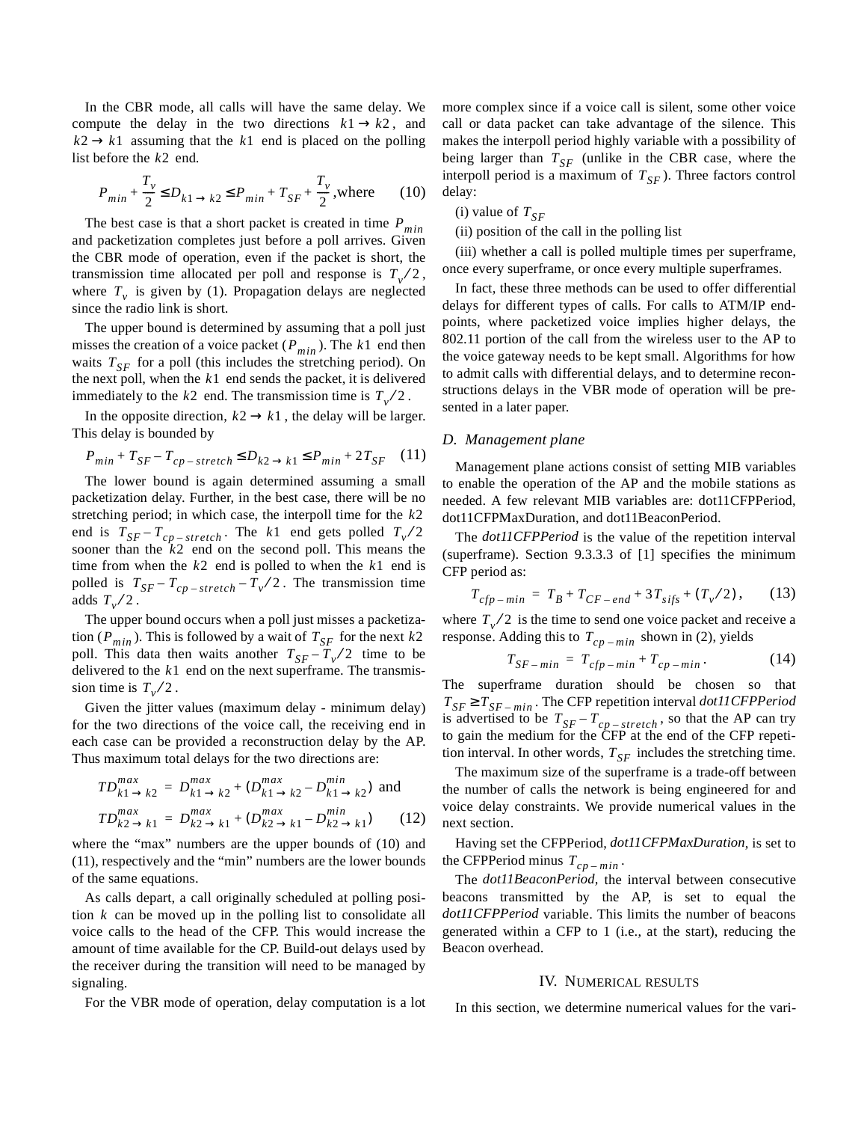In the CBR mode, all calls will have the same delay. We compute the delay in the two directions  $k1 \rightarrow k2$ , and  $k2 \rightarrow k1$  assuming that the  $k1$  end is placed on the polling list before the  $k2$  end.

$$
P_{min} + \frac{T_v}{2} \le D_{k1 \to k2} \le P_{min} + T_{SF} + \frac{T_v}{2}, \text{where} \qquad (10)
$$

The best case is that a short packet is created in time *Pmin* and packetization completes just before a poll arrives. Given the CBR mode of operation, even if the packet is short, the transmission time allocated per poll and response is  $T_v/2$ , where  $T_v$  is given by (1). Propagation delays are neglected since the radio link is short.

The upper bound is determined by assuming that a poll just misses the creation of a voice packet  $(P_{min})$ . The k1 end then waits  $T_{SF}$  for a poll (this includes the stretching period). On the next poll, when the  $k1$  end sends the packet, it is delivered immediately to the  $k2$  end. The transmission time is  $T_v/2$ .

In the opposite direction,  $k2 \rightarrow k1$ , the delay will be larger. This delay is bounded by

$$
P_{min} + T_{SF} - T_{cp-stretch} \le D_{k2 \to k1} \le P_{min} + 2T_{SF} \tag{11}
$$

The lower bound is again determined assuming a small packetization delay. Further, in the best case, there will be no stretching period; in which case, the interpoll time for the *k*2 end is  $T_{SF} - T_{cp-stretch}$ . The k1 end gets polled  $T_v/2$ sooner than the  $k^2$  end on the second poll. This means the time from when the  $k2$  end is polled to when the  $k1$  end is polled is  $T_{SF} - T_{cp - stretch} - T_{v}/2$ . The transmission time adds  $T_v/2$ .

The upper bound occurs when a poll just misses a packetization ( $P_{min}$ ). This is followed by a wait of  $T_{SF}$  for the next  $k2$ poll. This data then waits another  $T_{SF} - T_v/2$  time to be delivered to the  $k1$  end on the next superframe. The transmission time is  $T_v/2$ .

Given the jitter values (maximum delay - minimum delay) for the two directions of the voice call, the receiving end in each case can be provided a reconstruction delay by the AP. Thus maximum total delays for the two directions are:

$$
TD_{k1 \to k2}^{max} = D_{k1 \to k2}^{max} + (D_{k1 \to k2}^{max} - D_{k1 \to k2}^{min})
$$
 and  

$$
TD_{k2 \to k1}^{max} = D_{k2 \to k1}^{max} + (D_{k2 \to k1}^{max} - D_{k2 \to k1}^{min})
$$
 (12)

where the "max" numbers are the upper bounds of (10) and (11), respectively and the "min" numbers are the lower bounds of the same equations.

As calls depart, a call originally scheduled at polling position  $k$  can be moved up in the polling list to consolidate all voice calls to the head of the CFP. This would increase the amount of time available for the CP. Build-out delays used by the receiver during the transition will need to be managed by signaling.

For the VBR mode of operation, delay computation is a lot

more complex since if a voice call is silent, some other voice call or data packet can take advantage of the silence. This makes the interpoll period highly variable with a possibility of being larger than  $T_{SF}$  (unlike in the CBR case, where the interpoll period is a maximum of  $T_{SF}$ ). Three factors control delay:

(i) value of  $T_{SF}$ 

(ii) position of the call in the polling list

(iii) whether a call is polled multiple times per superframe, once every superframe, or once every multiple superframes.

In fact, these three methods can be used to offer differential delays for different types of calls. For calls to ATM/IP endpoints, where packetized voice implies higher delays, the 802.11 portion of the call from the wireless user to the AP to the voice gateway needs to be kept small. Algorithms for how to admit calls with differential delays, and to determine reconstructions delays in the VBR mode of operation will be presented in a later paper.

#### *D. Management plane*

Management plane actions consist of setting MIB variables to enable the operation of the AP and the mobile stations as needed. A few relevant MIB variables are: dot11CFPPeriod, dot11CFPMaxDuration, and dot11BeaconPeriod.

The *dot11CFPPeriod* is the value of the repetition interval (superframe). Section 9.3.3.3 of [1] specifies the minimum CFP period as:

$$
T_{cfp-min} = T_B + T_{CF-end} + 3T_{sifs} + (T_v/2), \qquad (13)
$$

where  $T_v/2$  is the time to send one voice packet and receive a response. Adding this to  $T_{cp-min}$  shown in (2), yields

$$
T_{SF-min} = T_{cfp-min} + T_{cp-min} \tag{14}
$$

The superframe duration should be chosen so that  $T_{SF} \geq T_{SF - min}$ . The CFP repetition interval *dot11CFPPeriod* is advertised to be  $T_{SF} - T_{cn - stretch}$ , so that the AP can try to gain the medium for the CFP at the end of the CFP repetition interval. In other words,  $T_{SF}$  includes the stretching time.  $T_{SF} - T_{cp-stretch}$ 

The maximum size of the superframe is a trade-off between the number of calls the network is being engineered for and voice delay constraints. We provide numerical values in the next section.

Having set the CFPPeriod, *dot11CFPMaxDuration*, is set to the CFPPeriod minus  $T_{cp-min}$ .

The *dot11BeaconPeriod,* the interval between consecutive beacons transmitted by the AP, is set to equal the *dot11CFPPeriod* variable. This limits the number of beacons generated within a CFP to 1 (i.e., at the start), reducing the Beacon overhead.

### IV. NUMERICAL RESULTS

In this section, we determine numerical values for the vari-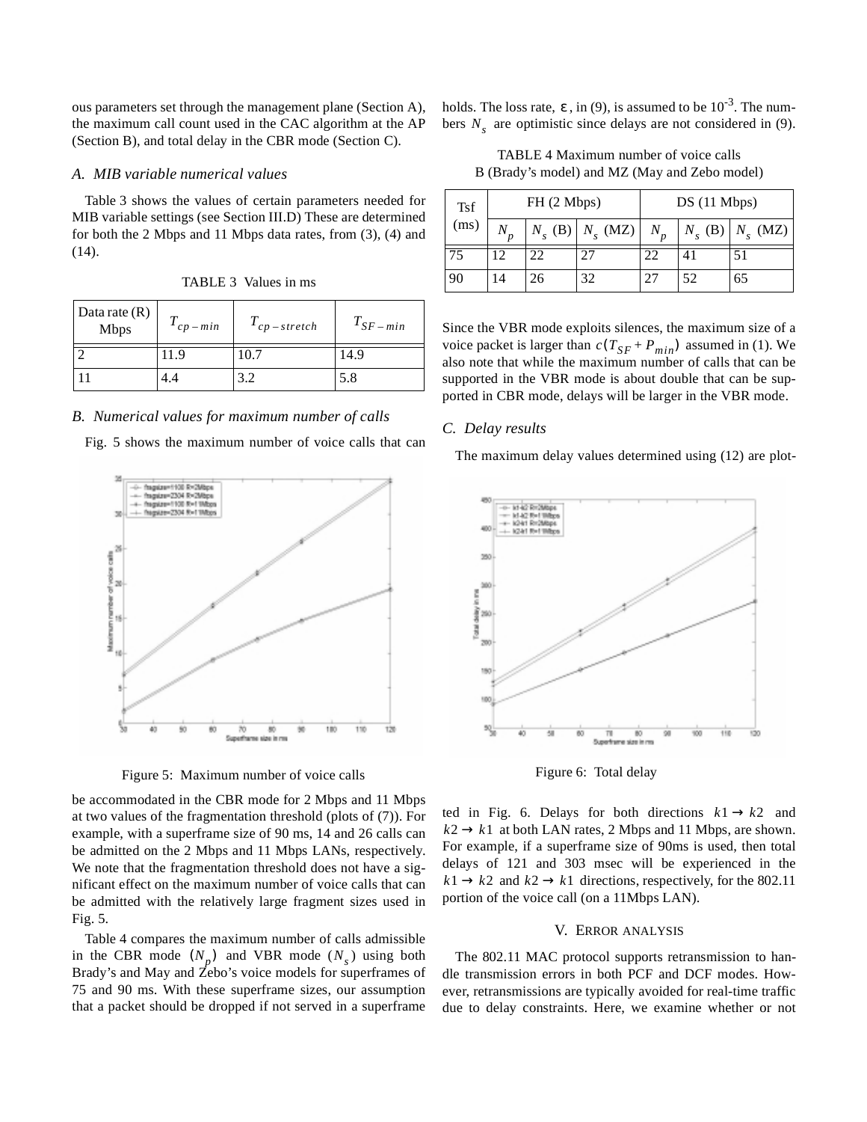ous parameters set through the management plane (Section A), the maximum call count used in the CAC algorithm at the AP (Section B), and total delay in the CBR mode (Section C).

# *A. MIB variable numerical values*

Table 3 shows the values of certain parameters needed for MIB variable settings (see Section III.D) These are determined for both the 2 Mbps and 11 Mbps data rates, from (3), (4) and (14).

| Data rate $(R)$<br><b>Mbps</b> | $r$ cp – min | $I_{cp-stretch}$ | $T_{SF-min}$ |
|--------------------------------|--------------|------------------|--------------|
|                                | 11.9         | 10.7             | 14.9         |
|                                | 4.4          | 3.2              | 5.8          |

TABLE 3 Values in ms

*B. Numerical values for maximum number of calls*

Fig. 5 shows the maximum number of voice calls that can



Figure 5: Maximum number of voice calls

be accommodated in the CBR mode for 2 Mbps and 11 Mbps at two values of the fragmentation threshold (plots of (7)). For example, with a superframe size of 90 ms, 14 and 26 calls can be admitted on the 2 Mbps and 11 Mbps LANs, respectively. We note that the fragmentation threshold does not have a significant effect on the maximum number of voice calls that can be admitted with the relatively large fragment sizes used in Fig. 5.

Table 4 compares the maximum number of calls admissible in the CBR mode  $(N_p)$  and VBR mode  $(N_s)$  using both Brady's and May and  $\overline{Z}$ ebo's voice models for superframes of 75 and 90 ms. With these superframe sizes, our assumption that a packet should be dropped if not served in a superframe

holds. The loss rate,  $\varepsilon$ , in (9), is assumed to be  $10^{-3}$ . The numbers  $N_s$  are optimistic since delays are not considered in (9).

TABLE 4 Maximum number of voice calls B (Brady's model) and MZ (May and Zebo model)

| <b>Tsf</b> | FH (2 Mbps)    |    | $DS(11 \text{ Mbps})$            |       |                 |                  |
|------------|----------------|----|----------------------------------|-------|-----------------|------------------|
| (ms)       | N              |    | $N_{\rm s}$ (B) $N_{\rm s}$ (MZ) | $N_p$ | $N_{\rm c}$ (B) | $N_{\rm c}$ (MZ) |
| 75         | $\overline{2}$ | 22 | 27                               | 22    | 41              | 51               |
| 90         | 14             | 26 | 32                               | 27    | 52              | 65               |

Since the VBR mode exploits silences, the maximum size of a voice packet is larger than  $c(T_{SF} + P_{min})$  assumed in (1). We also note that while the maximum number of calls that can be supported in the VBR mode is about double that can be supported in CBR mode, delays will be larger in the VBR mode.

### *C. Delay results*

The maximum delay values determined using (12) are plot-



Figure 6: Total delay

ted in Fig. 6. Delays for both directions  $k1 \rightarrow k2$  and  $k2 \rightarrow k1$  at both LAN rates, 2 Mbps and 11 Mbps, are shown. For example, if a superframe size of 90ms is used, then total delays of 121 and 303 msec will be experienced in the  $k1 \rightarrow k2$  and  $k2 \rightarrow k1$  directions, respectively, for the 802.11 portion of the voice call (on a 11Mbps LAN).

### V. ERROR ANALYSIS

The 802.11 MAC protocol supports retransmission to handle transmission errors in both PCF and DCF modes. However, retransmissions are typically avoided for real-time traffic due to delay constraints. Here, we examine whether or not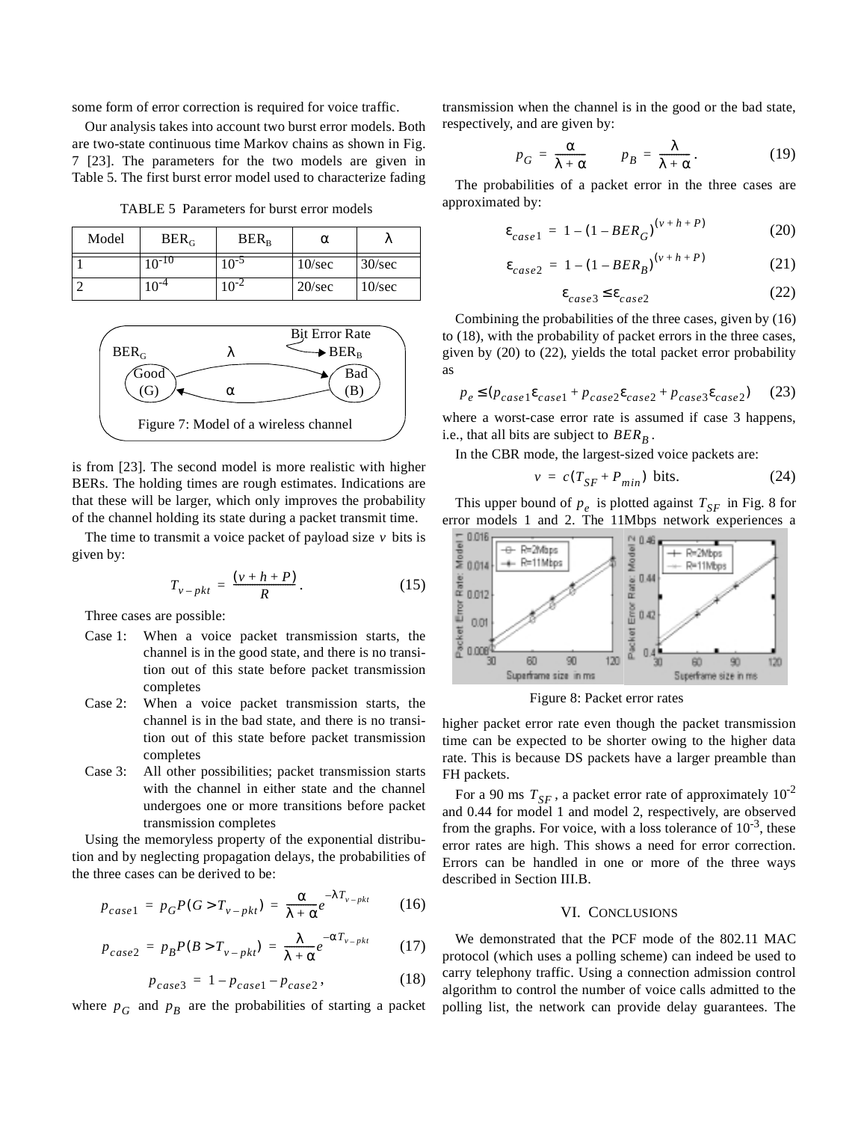some form of error correction is required for voice traffic.

Our analysis takes into account two burst error models. Both are two-state continuous time Markov chains as shown in Fig. 7 [23]. The parameters for the two models are given in Table 5. The first burst error model used to characterize fading

TABLE 5 Parameters for burst error models

| Model | $BER_G$   | $BER_R$   | α      | ΙV     |
|-------|-----------|-----------|--------|--------|
|       | $0^{-10}$ | $10^{-5}$ | 10/sec | 30/sec |
|       | $0^{-4}$  |           | 20/sec | 10/sec |



is from [23]. The second model is more realistic with higher BERs. The holding times are rough estimates. Indications are that these will be larger, which only improves the probability of the channel holding its state during a packet transmit time.

The time to transmit a voice packet of payload size  $\nu$  bits is given by:

$$
T_{v-pkt} = \frac{(v+h+P)}{R}.
$$
 (15)

Three cases are possible:

- Case 1: When a voice packet transmission starts, the channel is in the good state, and there is no transition out of this state before packet transmission completes
- Case 2: When a voice packet transmission starts, the channel is in the bad state, and there is no transition out of this state before packet transmission completes
- Case 3: All other possibilities; packet transmission starts with the channel in either state and the channel undergoes one or more transitions before packet transmission completes

Using the memoryless property of the exponential distribution and by neglecting propagation delays, the probabilities of the three cases can be derived to be:

$$
p_{case1} = p_G P(G > T_{v-pkt}) = \frac{\alpha}{\lambda + \alpha} e^{-\lambda T_{v-pkt}}
$$
 (16)

$$
p_{case2} = p_B P(B > T_{v-pkt}) = \frac{\lambda}{\lambda + \alpha} e^{-\alpha T_{v-pkt}}
$$
 (17)

$$
p_{case3} = 1 - p_{case1} - p_{case2}, \t\t(18)
$$

where  $p_G$  and  $p_B$  are the probabilities of starting a packet

transmission when the channel is in the good or the bad state, respectively, and are given by:

$$
p_G = \frac{\alpha}{\lambda + \alpha} \qquad p_B = \frac{\lambda}{\lambda + \alpha}.
$$
 (19)

The probabilities of a packet error in the three cases are approximated by:

$$
\varepsilon_{case1} = 1 - (1 - BER_G)^{(v + h + P)}
$$
 (20)

$$
\varepsilon_{case2} = 1 - (1 - BER_B)^{(v+h+P)} \tag{21}
$$

$$
\varepsilon_{case3} \le \varepsilon_{case2} \tag{22}
$$

Combining the probabilities of the three cases, given by (16) to (18), with the probability of packet errors in the three cases, given by (20) to (22), yields the total packet error probability as

$$
p_e \le (p_{case1} \varepsilon_{case1} + p_{case2} \varepsilon_{case2} + p_{case3} \varepsilon_{case2}) \tag{23}
$$

where a worst-case error rate is assumed if case 3 happens, i.e., that all bits are subject to  $BER_B$ .

In the CBR mode, the largest-sized voice packets are:

$$
v = c(T_{SF} + P_{min}) \text{ bits.}
$$
 (24)

This upper bound of  $p_e$  is plotted against  $T_{SF}$  in Fig. 8 for error models 1 and 2. The 11Mbps network experiences a



Figure 8: Packet error rates

higher packet error rate even though the packet transmission time can be expected to be shorter owing to the higher data rate. This is because DS packets have a larger preamble than FH packets.

For a 90 ms  $T_{SF}$ , a packet error rate of approximately  $10^{-2}$ and 0.44 for model 1 and model 2, respectively, are observed from the graphs. For voice, with a loss tolerance of  $10^{-3}$ , these error rates are high. This shows a need for error correction. Errors can be handled in one or more of the three ways described in Section III.B.

# VI. CONCLUSIONS

We demonstrated that the PCF mode of the 802.11 MAC protocol (which uses a polling scheme) can indeed be used to carry telephony traffic. Using a connection admission control algorithm to control the number of voice calls admitted to the polling list, the network can provide delay guarantees. The